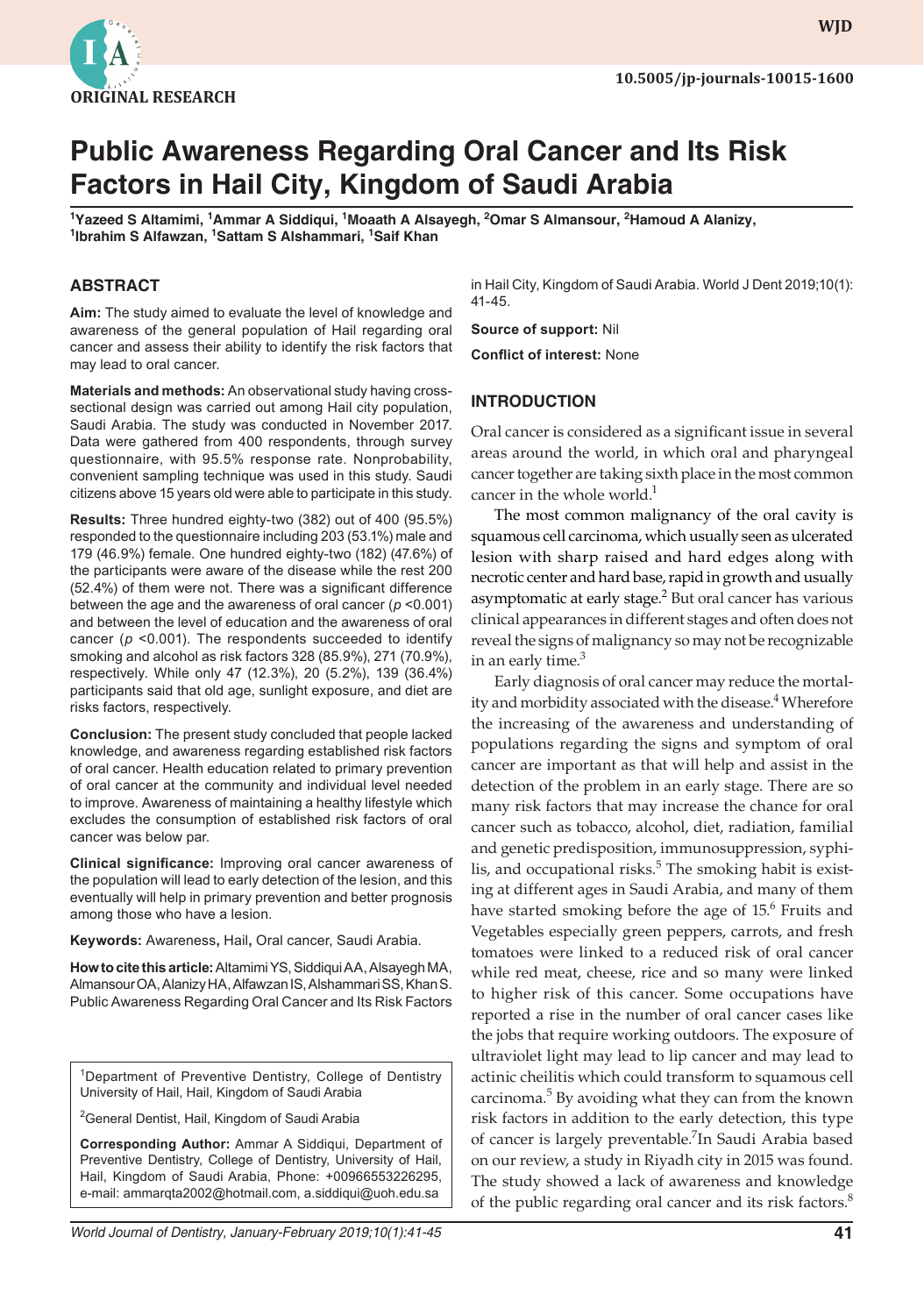

**WJD WJD**

# **Public Awareness Regarding Oral Cancer and Its Risk Factors in Hail City, Kingdom of Saudi Arabia**

<sup>1</sup>Yazeed S Altamimi, <sup>1</sup>Ammar A Siddiqui, <sup>1</sup>Moaath A Alsayegh, <sup>2</sup>Omar S Almansour, <sup>2</sup>Hamoud A Alanizy,<br><sup>1</sup>Ibrahim S Alfawzan, <sup>1</sup>Sattam S Alshammari, <sup>1</sup>Saif Khan **Ibrahim S Alfawzan, 1 Sattam S Alshammari, <sup>1</sup> Saif Khan**

#### **ABSTRACT**

**Aim:** The study aimed to evaluate the level of knowledge and awareness of the general population of Hail regarding oral cancer and assess their ability to identify the risk factors that may lead to oral cancer.

**Materials and methods:** An observational study having crosssectional design was carried out among Hail city population, Saudi Arabia. The study was conducted in November 2017. Data were gathered from 400 respondents, through survey questionnaire, with 95.5% response rate. Nonprobability, convenient sampling technique was used in this study. Saudi citizens above 15 years old were able to participate in this study.

**Results:** Three hundred eighty-two (382) out of 400 (95.5%) responded to the questionnaire including 203 (53.1%) male and 179 (46.9%) female. One hundred eighty-two (182) (47.6%) of the participants were aware of the disease while the rest 200 (52.4%) of them were not. There was a significant difference between the age and the awareness of oral cancer (*p* <0.001) and between the level of education and the awareness of oral cancer (*p* <0.001). The respondents succeeded to identify smoking and alcohol as risk factors 328 (85.9%), 271 (70.9%), respectively. While only 47 (12.3%), 20 (5.2%), 139 (36.4%) participants said that old age, sunlight exposure, and diet are risks factors, respectively.

**Conclusion:** The present study concluded that people lacked knowledge, and awareness regarding established risk factors of oral cancer. Health education related to primary prevention of oral cancer at the community and individual level needed to improve. Awareness of maintaining a healthy lifestyle which excludes the consumption of established risk factors of oral cancer was below par.

**Clinical significance:** Improving oral cancer awareness of the population will lead to early detection of the lesion, and this eventually will help in primary prevention and better prognosis among those who have a lesion.

**Keywords:** Awareness**,** Hail**,** Oral cancer, Saudi Arabia.

**How to cite this article:** Altamimi YS, Siddiqui AA, Alsayegh MA, Almansour OA, Alanizy HA, Alfawzan IS, Alshammari SS, Khan S. Public Awareness Regarding Oral Cancer and Its Risk Factors

<sup>1</sup>Department of Preventive Dentistry, College of Dentistry University of Hail, Hail, Kingdom of Saudi Arabia

<sup>2</sup>General Dentist, Hail, Kingdom of Saudi Arabia

**Corresponding Author:** Ammar A Siddiqui, Department of Preventive Dentistry, College of Dentistry, University of Hail, Hail, Kingdom of Saudi Arabia, Phone: +00966553226295, e-mail: ammarqta2002@hotmail.com, a.siddiqui@uoh.edu.sa

in Hail City, Kingdom of Saudi Arabia. World J Dent 2019;10(1): 41-45.

**Source of support:** Nil **Conflict of interest:** None

#### **INTRODUCTION**

Oral cancer is considered as a significant issue in several areas around the world, in which oral and pharyngeal cancer together are taking sixth place in the most common cancer in the whole world. $<sup>1</sup>$ </sup>

The most common malignancy of the oral cavity is squamous cell carcinoma, which usually seen as ulcerated lesion with sharp raised and hard edges along with necrotic center and hard base, rapid in growth and usually asymptomatic at early stage.<sup>2</sup> But oral cancer has various clinical appearances in different stages and often does not reveal the signs of malignancy so may not be recognizable in an early time. $3$ 

Early diagnosis of oral cancer may reduce the mortality and morbidity associated with the disease.<sup>4</sup> Wherefore the increasing of the awareness and understanding of populations regarding the signs and symptom of oral cancer are important as that will help and assist in the detection of the problem in an early stage. There are so many risk factors that may increase the chance for oral cancer such as tobacco, alcohol, diet, radiation, familial and genetic predisposition, immunosuppression, syphilis, and occupational risks.<sup>5</sup> The smoking habit is existing at different ages in Saudi Arabia, and many of them have started smoking before the age of 15.<sup>6</sup> Fruits and Vegetables especially green peppers, carrots, and fresh tomatoes were linked to a reduced risk of oral cancer while red meat, cheese, rice and so many were linked to higher risk of this cancer. Some occupations have reported a rise in the number of oral cancer cases like the jobs that require working outdoors. The exposure of ultraviolet light may lead to lip cancer and may lead to actinic cheilitis which could transform to squamous cell carcinoma.<sup>5</sup> By avoiding what they can from the known risk factors in addition to the early detection, this type of cancer is largely preventable.<sup>7</sup>In Saudi Arabia based on our review, a study in Riyadh city in 2015 was found. The study showed a lack of awareness and knowledge of the public regarding oral cancer and its risk factors.<sup>8</sup>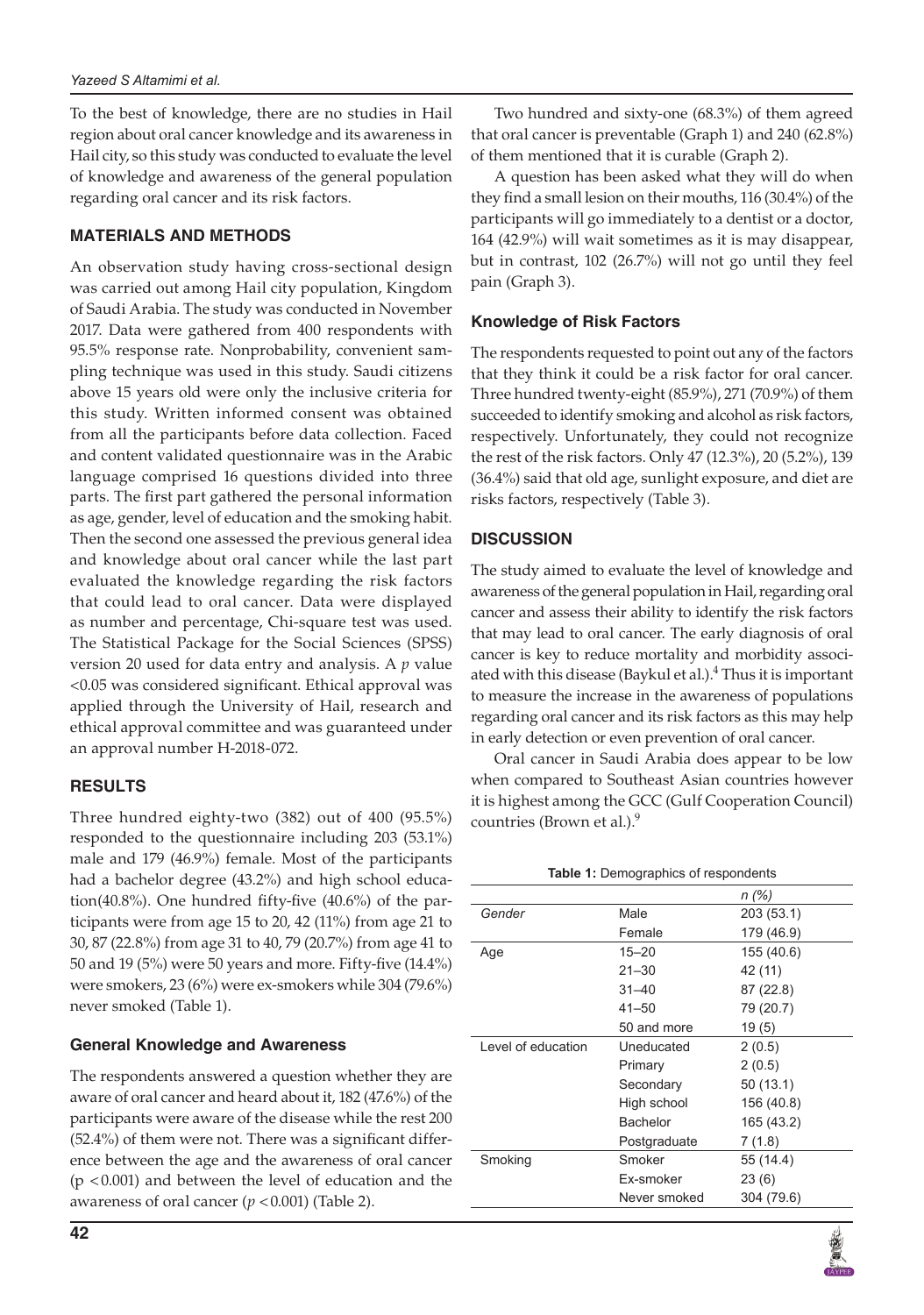To the best of knowledge, there are no studies in Hail region about oral cancer knowledge and its awareness in Hail city, so this study was conducted to evaluate the level of knowledge and awareness of the general population regarding oral cancer and its risk factors.

## **MATERIALS AND METHODS**

An observation study having cross-sectional design was carried out among Hail city population, Kingdom of Saudi Arabia. The study was conducted in November 2017. Data were gathered from 400 respondents with 95.5% response rate. Nonprobability, convenient sampling technique was used in this study. Saudi citizens above 15 years old were only the inclusive criteria for this study. Written informed consent was obtained from all the participants before data collection. Faced and content validated questionnaire was in the Arabic language comprised 16 questions divided into three parts. The first part gathered the personal information as age, gender, level of education and the smoking habit. Then the second one assessed the previous general idea and knowledge about oral cancer while the last part evaluated the knowledge regarding the risk factors that could lead to oral cancer. Data were displayed as number and percentage, Chi-square test was used. The Statistical Package for the Social Sciences (SPSS) version 20 used for data entry and analysis. A *p* value <0.05 was considered significant. Ethical approval was applied through the University of Hail, research and ethical approval committee and was guaranteed under an approval number H-2018-072.

#### **RESULTS**

Three hundred eighty-two (382) out of 400 (95.5%) responded to the questionnaire including 203 (53.1%) male and 179 (46.9%) female. Most of the participants had a bachelor degree (43.2%) and high school education(40.8%). One hundred fifty-five (40.6%) of the participants were from age 15 to 20, 42 (11%) from age 21 to 30, 87 (22.8%) from age 31 to 40, 79 (20.7%) from age 41 to 50 and 19 (5%) were 50 years and more. Fifty-five (14.4%) were smokers, 23 (6%) were ex-smokers while 304 (79.6%) never smoked (Table 1).

#### **General Knowledge and Awareness**

The respondents answered a question whether they are aware of oral cancer and heard about it, 182 (47.6%) of the participants were aware of the disease while the rest 200 (52.4%) of them were not. There was a significant difference between the age and the awareness of oral cancer (p <0.001) and between the level of education and the awareness of oral cancer  $(p < 0.001)$  (Table 2).

Two hundred and sixty-one (68.3%) of them agreed that oral cancer is preventable (Graph 1) and 240 (62.8%) of them mentioned that it is curable (Graph 2).

A question has been asked what they will do when they find a small lesion on their mouths, 116 (30.4%) of the participants will go immediately to a dentist or a doctor, 164 (42.9%) will wait sometimes as it is may disappear, but in contrast, 102 (26.7%) will not go until they feel pain (Graph 3).

#### **Knowledge of Risk Factors**

The respondents requested to point out any of the factors that they think it could be a risk factor for oral cancer. Three hundred twenty-eight (85.9%), 271 (70.9%) of them succeeded to identify smoking and alcohol as risk factors, respectively. Unfortunately, they could not recognize the rest of the risk factors. Only 47 (12.3%), 20 (5.2%), 139 (36.4%) said that old age, sunlight exposure, and diet are risks factors, respectively (Table 3).

#### **DISCUSSION**

The study aimed to evaluate the level of knowledge and awareness of the general population in Hail, regarding oral cancer and assess their ability to identify the risk factors that may lead to oral cancer. The early diagnosis of oral cancer is key to reduce mortality and morbidity associated with this disease (Baykul et al.). $\rm ^4$  Thus it is important to measure the increase in the awareness of populations regarding oral cancer and its risk factors as this may help in early detection or even prevention of oral cancer.

Oral cancer in Saudi Arabia does appear to be low when compared to Southeast Asian countries however it is highest among the GCC (Gulf Cooperation Council) countries (Brown et al.).<sup>9</sup>

| <b>Table 1:</b> Demographics of respondents |
|---------------------------------------------|
|---------------------------------------------|

|                    |              | n(%)       |
|--------------------|--------------|------------|
| Gender             | Male         | 203 (53.1) |
|                    | Female       | 179 (46.9) |
| Age                | $15 - 20$    | 155 (40.6) |
|                    | $21 - 30$    | 42 (11)    |
|                    | $31 - 40$    | 87 (22.8)  |
|                    | $41 - 50$    | 79 (20.7)  |
|                    | 50 and more  | 19(5)      |
| Level of education | Uneducated   | 2(0.5)     |
|                    | Primary      | 2(0.5)     |
|                    | Secondary    | 50 (13.1)  |
|                    | High school  | 156 (40.8) |
|                    | Bachelor     | 165 (43.2) |
|                    | Postgraduate | 7(1.8)     |
| Smoking            | Smoker       | 55 (14.4)  |
|                    | Ex-smoker    | 23(6)      |
|                    | Never smoked | 304 (79.6) |
|                    |              |            |

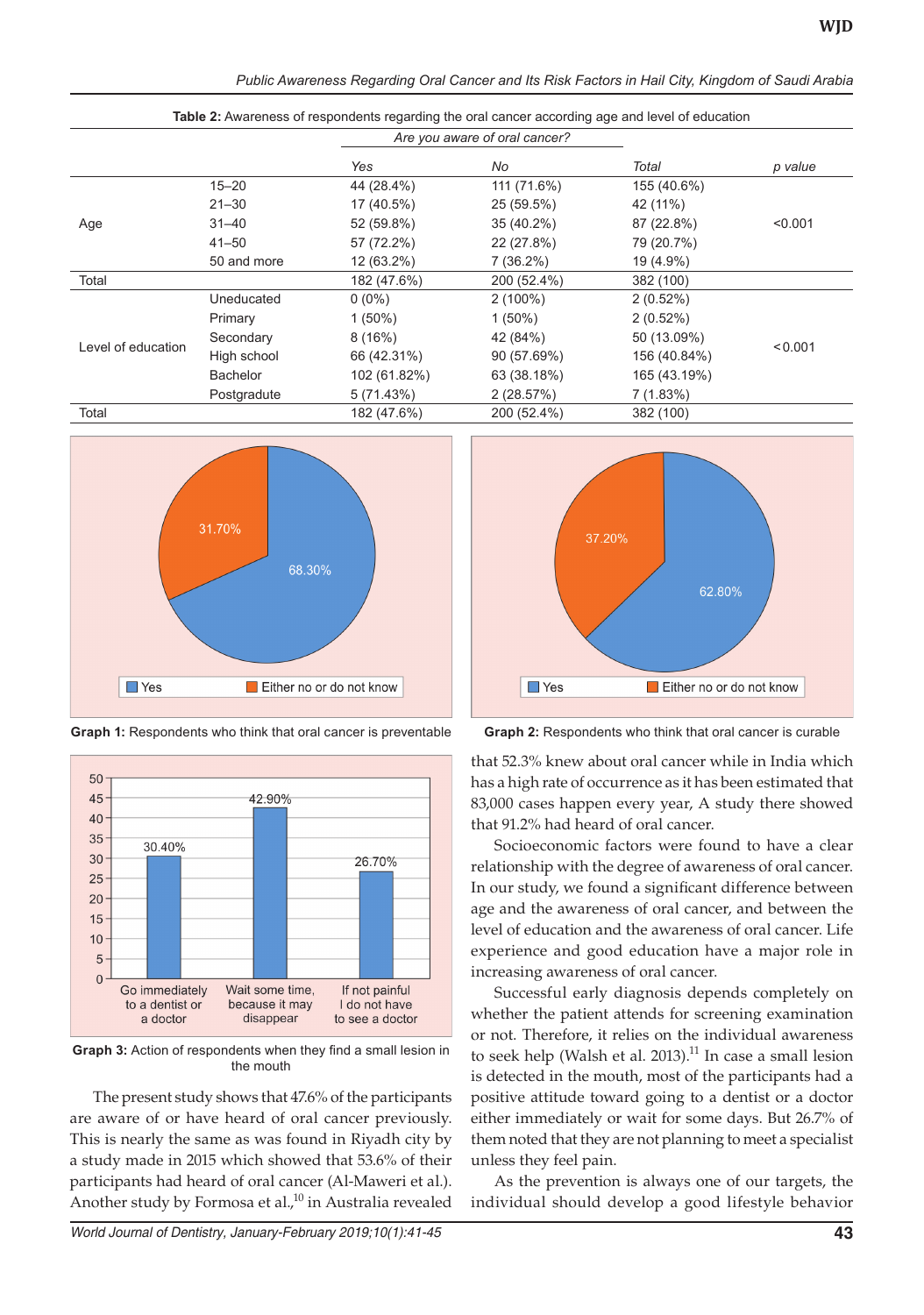*Public Awareness Regarding Oral Cancer and Its Risk Factors in Hail City, Kingdom of Saudi Arabia*

| Table 2: Awareness of respondents regarding the oral cancer according age and level of education |                 |                               |             |              |         |
|--------------------------------------------------------------------------------------------------|-----------------|-------------------------------|-------------|--------------|---------|
|                                                                                                  |                 | Are you aware of oral cancer? |             |              |         |
|                                                                                                  |                 | Yes                           | No          | Total        | p value |
| Age                                                                                              | $15 - 20$       | 44 (28.4%)                    | 111 (71.6%) | 155 (40.6%)  |         |
|                                                                                                  | $21 - 30$       | 17 (40.5%)                    | 25 (59.5%)  | 42 (11%)     |         |
|                                                                                                  | $31 - 40$       | 52 (59.8%)                    | 35 (40.2%)  | 87 (22.8%)   | < 0.001 |
|                                                                                                  | $41 - 50$       | 57 (72.2%)                    | 22 (27.8%)  | 79 (20.7%)   |         |
|                                                                                                  | 50 and more     | 12 (63.2%)                    | $7(36.2\%)$ | 19 (4.9%)    |         |
| Total                                                                                            |                 | 182 (47.6%)                   | 200 (52.4%) | 382 (100)    |         |
| Level of education                                                                               | Uneducated      | $0(0\%)$                      | $2(100\%)$  | $2(0.52\%)$  |         |
|                                                                                                  | Primary         | $1(50\%)$                     | $1(50\%)$   | 2(0.52%)     |         |
|                                                                                                  | Secondary       | 8(16%)                        | 42 (84%)    | 50 (13.09%)  | < 0.001 |
|                                                                                                  | High school     | 66 (42.31%)                   | 90 (57.69%) | 156 (40.84%) |         |
|                                                                                                  | <b>Bachelor</b> | 102 (61.82%)                  | 63 (38.18%) | 165 (43.19%) |         |
|                                                                                                  | Postgradute     | 5(71.43%)                     | 2(28.57%)   | 7 (1.83%)    |         |
| Total                                                                                            |                 | 182 (47.6%)                   | 200 (52.4%) | 382 (100)    |         |



**Graph 1:** Respondents who think that oral cancer is preventable **Graph 2:** Respondents who think that oral cancer is curable



**Graph 3:** Action of respondents when they find a small lesion in the mouth

The present study shows that 47.6% of the participants are aware of or have heard of oral cancer previously. This is nearly the same as was found in Riyadh city by a study made in 2015 which showed that 53.6% of their participants had heard of oral cancer (Al-Maweri et al.). Another study by Formosa et al., $^{10}$  in Australia revealed

*World Journal of Dentistry, January-February 2019;10(1):41-45* **43**



that 52.3% knew about oral cancer while in India which has a high rate of occurrence as it has been estimated that 83,000 cases happen every year, A study there showed that 91.2% had heard of oral cancer.

Socioeconomic factors were found to have a clear relationship with the degree of awareness of oral cancer. In our study, we found a significant difference between age and the awareness of oral cancer, and between the level of education and the awareness of oral cancer. Life experience and good education have a major role in increasing awareness of oral cancer.

Successful early diagnosis depends completely on whether the patient attends for screening examination or not. Therefore, it relies on the individual awareness to seek help (Walsh et al. 2013). $^{11}$  In case a small lesion is detected in the mouth, most of the participants had a positive attitude toward going to a dentist or a doctor either immediately or wait for some days. But 26.7% of them noted that they are not planning to meet a specialist unless they feel pain.

As the prevention is always one of our targets, the individual should develop a good lifestyle behavior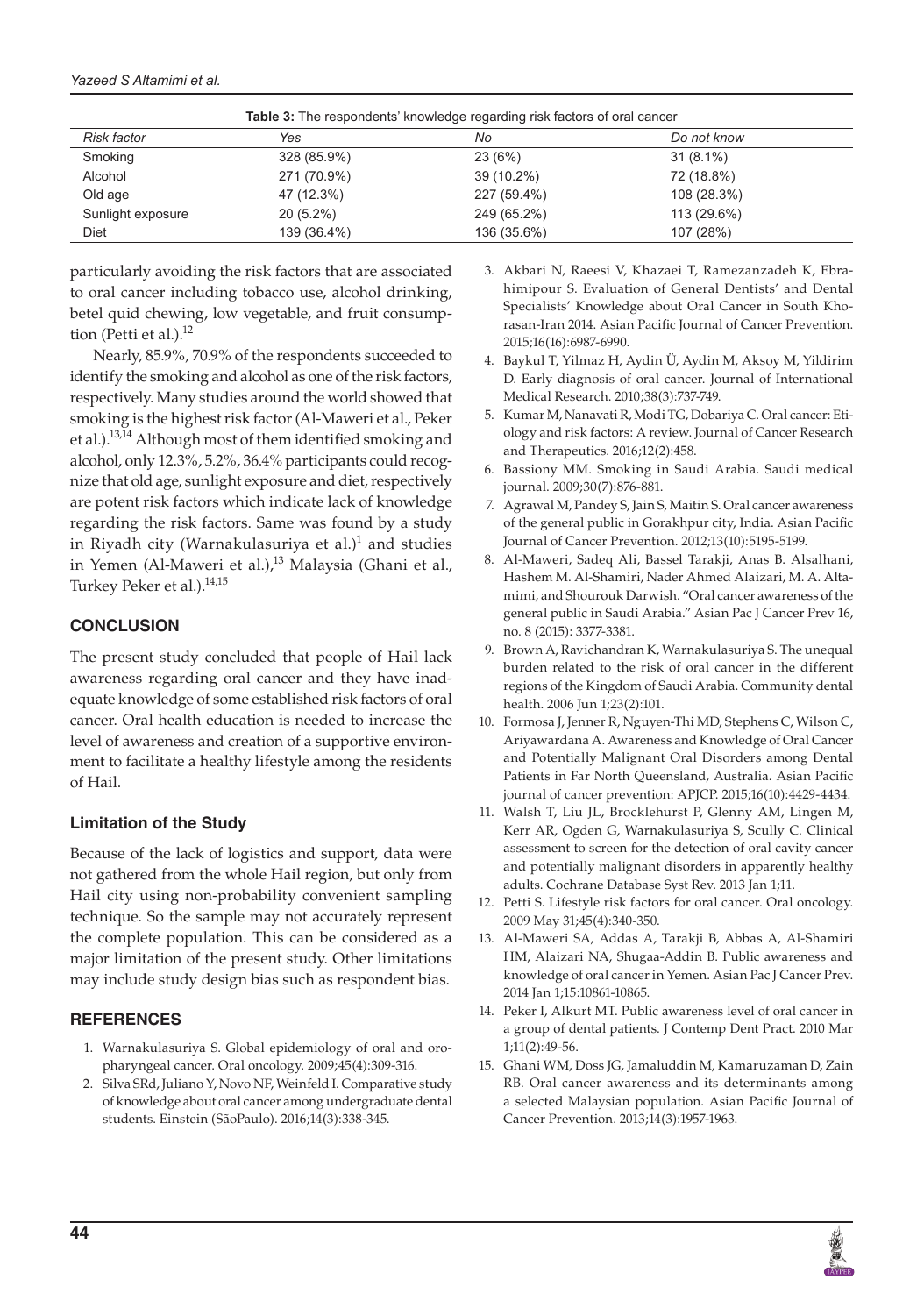| <b>Table 3:</b> The respondents' knowledge regarding risk factors of oral cancer |             |             |             |  |
|----------------------------------------------------------------------------------|-------------|-------------|-------------|--|
| <b>Risk factor</b>                                                               | Yes         | No          | Do not know |  |
| Smoking                                                                          | 328 (85.9%) | 23 (6%)     | $31(8.1\%)$ |  |
| Alcohol                                                                          | 271 (70.9%) | 39 (10.2%)  | 72 (18.8%)  |  |
| Old age                                                                          | 47 (12.3%)  | 227 (59.4%) | 108 (28.3%) |  |
| Sunlight exposure                                                                | $20(5.2\%)$ | 249 (65.2%) | 113 (29.6%) |  |
| Diet                                                                             | 139 (36.4%) | 136 (35.6%) | 107 (28%)   |  |

particularly avoiding the risk factors that are associated to oral cancer including tobacco use, alcohol drinking, betel quid chewing, low vegetable, and fruit consumption (Petti et al.).<sup>12</sup>

Nearly, 85.9%, 70.9% of the respondents succeeded to identify the smoking and alcohol as one of the risk factors, respectively. Many studies around the world showed that smoking is the highest risk factor (Al-Maweri et al., Peker et al.).<sup>13,14</sup> Although most of them identified smoking and alcohol, only 12.3%, 5.2%, 36.4% participants could recognize that old age, sunlight exposure and diet, respectively are potent risk factors which indicate lack of knowledge regarding the risk factors. Same was found by a study in Riyadh city (Warnakulasuriya et al.) $^1$  and studies in Yemen (Al-Maweri et al.),<sup>13</sup> Malaysia (Ghani et al., Turkey Peker et al.).<sup>14,15</sup>

## **CONCLUSION**

The present study concluded that people of Hail lack awareness regarding oral cancer and they have inadequate knowledge of some established risk factors of oral cancer. Oral health education is needed to increase the level of awareness and creation of a supportive environment to facilitate a healthy lifestyle among the residents of Hail.

# **Limitation of the Study**

Because of the lack of logistics and support, data were not gathered from the whole Hail region, but only from Hail city using non-probability convenient sampling technique. So the sample may not accurately represent the complete population. This can be considered as a major limitation of the present study. Other limitations may include study design bias such as respondent bias.

# **REFERENCES**

- 1. Warnakulasuriya S. Global epidemiology of oral and oropharyngeal cancer. Oral oncology. 2009;45(4):309-316.
- 2. Silva SRd, Juliano Y, Novo NF, Weinfeld I. Comparative study of knowledge about oral cancer among undergraduate dental students. Einstein (SãoPaulo). 2016;14(3):338-345.
- 3. Akbari N, Raeesi V, Khazaei T, Ramezanzadeh K, Ebrahimipour S. Evaluation of General Dentists' and Dental Specialists' Knowledge about Oral Cancer in South Khorasan-Iran 2014. Asian Pacific Journal of Cancer Prevention. 2015;16(16):6987-6990.
- 4. Baykul T, Yilmaz H, Aydin Ü, Aydin M, Aksoy M, Yildirim D. Early diagnosis of oral cancer. Journal of International Medical Research. 2010;38(3):737-749.
- 5. Kumar M, Nanavati R, Modi TG, Dobariya C. Oral cancer: Etiology and risk factors: A review. Journal of Cancer Research and Therapeutics. 2016;12(2):458.
- 6. Bassiony MM. Smoking in Saudi Arabia. Saudi medical journal. 2009;30(7):876-881.
- 7. Agrawal M, Pandey S, Jain S, Maitin S. Oral cancer awareness of the general public in Gorakhpur city, India. Asian Pacific Journal of Cancer Prevention. 2012;13(10):5195-5199.
- 8. Al-Maweri, Sadeq Ali, Bassel Tarakji, Anas B. Alsalhani, Hashem M. Al-Shamiri, Nader Ahmed Alaizari, M. A. Altamimi, and Shourouk Darwish. "Oral cancer awareness of the general public in Saudi Arabia." Asian Pac J Cancer Prev 16, no. 8 (2015): 3377-3381.
- 9. Brown A, Ravichandran K, Warnakulasuriya S. The unequal burden related to the risk of oral cancer in the different regions of the Kingdom of Saudi Arabia. Community dental health. 2006 Jun 1;23(2):101.
- 10. Formosa J, Jenner R, Nguyen-Thi MD, Stephens C, Wilson C, Ariyawardana A. Awareness and Knowledge of Oral Cancer and Potentially Malignant Oral Disorders among Dental Patients in Far North Queensland, Australia. Asian Pacific journal of cancer prevention: APJCP. 2015;16(10):4429-4434.
- 11. Walsh T, Liu JL, Brocklehurst P, Glenny AM, Lingen M, Kerr AR, Ogden G, Warnakulasuriya S, Scully C. Clinical assessment to screen for the detection of oral cavity cancer and potentially malignant disorders in apparently healthy adults. Cochrane Database Syst Rev. 2013 Jan 1;11.
- 12. Petti S. Lifestyle risk factors for oral cancer. Oral oncology. 2009 May 31;45(4):340-350.
- 13. Al-Maweri SA, Addas A, Tarakji B, Abbas A, Al-Shamiri HM, Alaizari NA, Shugaa-Addin B. Public awareness and knowledge of oral cancer in Yemen. Asian Pac J Cancer Prev. 2014 Jan 1;15:10861-10865.
- 14. Peker I, Alkurt MT. Public awareness level of oral cancer in a group of dental patients. J Contemp Dent Pract. 2010 Mar 1;11(2):49-56.
- 15. Ghani WM, Doss JG, Jamaluddin M, Kamaruzaman D, Zain RB. Oral cancer awareness and its determinants among a selected Malaysian population. Asian Pacific Journal of Cancer Prevention. 2013;14(3):1957-1963.